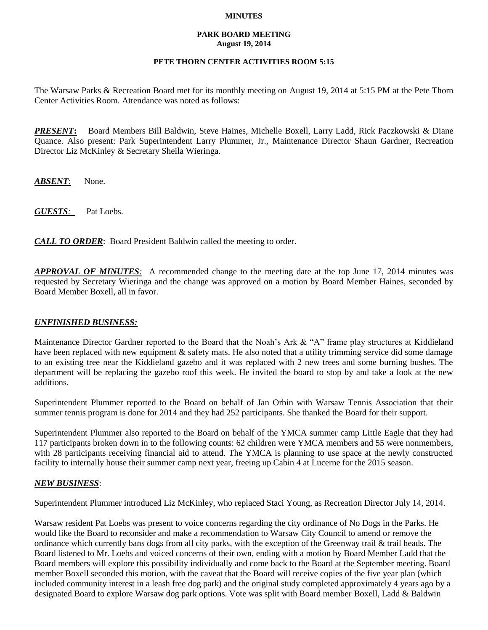### **MINUTES**

#### **PARK BOARD MEETING August 19, 2014**

## **PETE THORN CENTER ACTIVITIES ROOM 5:15**

The Warsaw Parks & Recreation Board met for its monthly meeting on August 19, 2014 at 5:15 PM at the Pete Thorn Center Activities Room. Attendance was noted as follows:

*PRESENT***:** Board Members Bill Baldwin, Steve Haines, Michelle Boxell, Larry Ladd, Rick Paczkowski & Diane Quance. Also present: Park Superintendent Larry Plummer, Jr., Maintenance Director Shaun Gardner, Recreation Director Liz McKinley & Secretary Sheila Wieringa.

*ABSENT*: None.

*GUESTS:*Pat Loebs.

*CALL TO ORDER*: Board President Baldwin called the meeting to order.

*APPROVAL OF MINUTES:* A recommended change to the meeting date at the top June 17, 2014 minutes was requested by Secretary Wieringa and the change was approved on a motion by Board Member Haines, seconded by Board Member Boxell, all in favor.

# *UNFINISHED BUSINESS:*

Maintenance Director Gardner reported to the Board that the Noah's Ark & "A" frame play structures at Kiddieland have been replaced with new equipment & safety mats. He also noted that a utility trimming service did some damage to an existing tree near the Kiddieland gazebo and it was replaced with 2 new trees and some burning bushes. The department will be replacing the gazebo roof this week. He invited the board to stop by and take a look at the new additions.

Superintendent Plummer reported to the Board on behalf of Jan Orbin with Warsaw Tennis Association that their summer tennis program is done for 2014 and they had 252 participants. She thanked the Board for their support.

Superintendent Plummer also reported to the Board on behalf of the YMCA summer camp Little Eagle that they had 117 participants broken down in to the following counts: 62 children were YMCA members and 55 were nonmembers, with 28 participants receiving financial aid to attend. The YMCA is planning to use space at the newly constructed facility to internally house their summer camp next year, freeing up Cabin 4 at Lucerne for the 2015 season.

### *NEW BUSINESS*:

Superintendent Plummer introduced Liz McKinley, who replaced Staci Young, as Recreation Director July 14, 2014.

Warsaw resident Pat Loebs was present to voice concerns regarding the city ordinance of No Dogs in the Parks. He would like the Board to reconsider and make a recommendation to Warsaw City Council to amend or remove the ordinance which currently bans dogs from all city parks, with the exception of the Greenway trail & trail heads. The Board listened to Mr. Loebs and voiced concerns of their own, ending with a motion by Board Member Ladd that the Board members will explore this possibility individually and come back to the Board at the September meeting. Board member Boxell seconded this motion, with the caveat that the Board will receive copies of the five year plan (which included community interest in a leash free dog park) and the original study completed approximately 4 years ago by a designated Board to explore Warsaw dog park options. Vote was split with Board member Boxell, Ladd & Baldwin